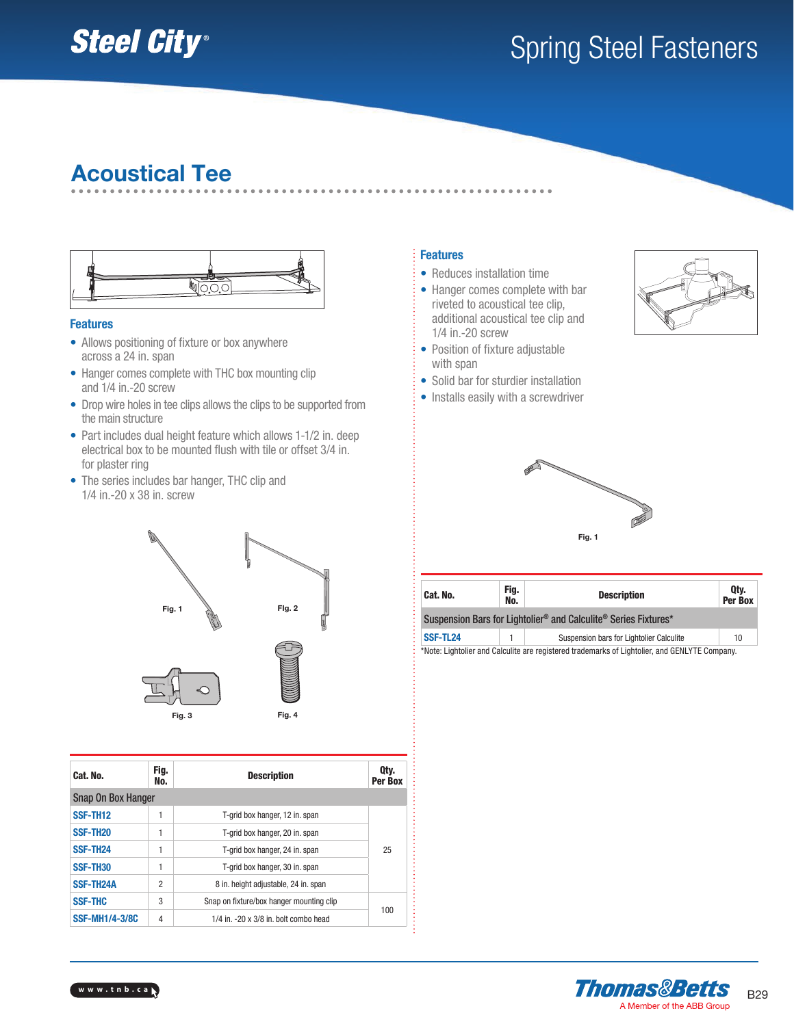# **Steel City®**

# Spring Steel Fasteners

## Acoustical Tee



#### Features

- Allows positioning of fixture or box anywhere across a 24 in. span
- Hanger comes complete with THC box mounting clip and 1/4 in.-20 screw
- Drop wire holes in tee clips allows the clips to be supported from the main structure
- Part includes dual height feature which allows 1-1/2 in. deep electrical box to be mounted flush with tile or offset 3/4 in. for plaster ring
- The series includes bar hanger, THC clip and 1/4 in.-20 x 38 in. screw



| Cat. No.                  | Fig.<br>No.                               | <b>Description</b>                             | Qty.<br>Per Box |
|---------------------------|-------------------------------------------|------------------------------------------------|-----------------|
| <b>Snap On Box Hanger</b> |                                           |                                                |                 |
| SSF-TH <sub>12</sub>      |                                           | T-grid box hanger, 12 in. span                 |                 |
| SSF-TH <sub>20</sub>      | 1                                         | T-grid box hanger, 20 in. span                 |                 |
| SSF-TH <sub>24</sub>      | 1                                         | T-grid box hanger, 24 in. span                 | 25              |
| SSF-TH30                  | 1                                         | T-grid box hanger, 30 in. span                 |                 |
| <b>SSF-TH24A</b>          | 2<br>8 in. height adjustable, 24 in. span |                                                |                 |
| <b>SSF-THC</b>            | 3                                         | Snap on fixture/box hanger mounting clip       |                 |
| <b>SSF-MH1/4-3/8C</b>     | 4                                         | $1/4$ in. $-20 \times 3/8$ in. bolt combo head | 100             |

- Reduces installation time
- Hanger comes complete with bar riveted to acoustical tee clip, additional acoustical tee clip and 1/4 in.-20 screw
- Position of fixture adjustable with span
- Solid bar for sturdier installation
- Installs easily with a screwdriver





| Cat. No.                                                        | Fig.<br>No. | <b>Description</b>                                                                            | Qty.<br>Per Box |  |  |  |
|-----------------------------------------------------------------|-------------|-----------------------------------------------------------------------------------------------|-----------------|--|--|--|
| Suspension Bars for Lightolier® and Calculite® Series Fixtures* |             |                                                                                               |                 |  |  |  |
| SSF-TL24<br>Suspension bars for Lightolier Calculite<br>10      |             |                                                                                               |                 |  |  |  |
|                                                                 |             | *Note: Lightolier and Calculite are registered trademarks of Lightolier, and GENLYTE Company. |                 |  |  |  |



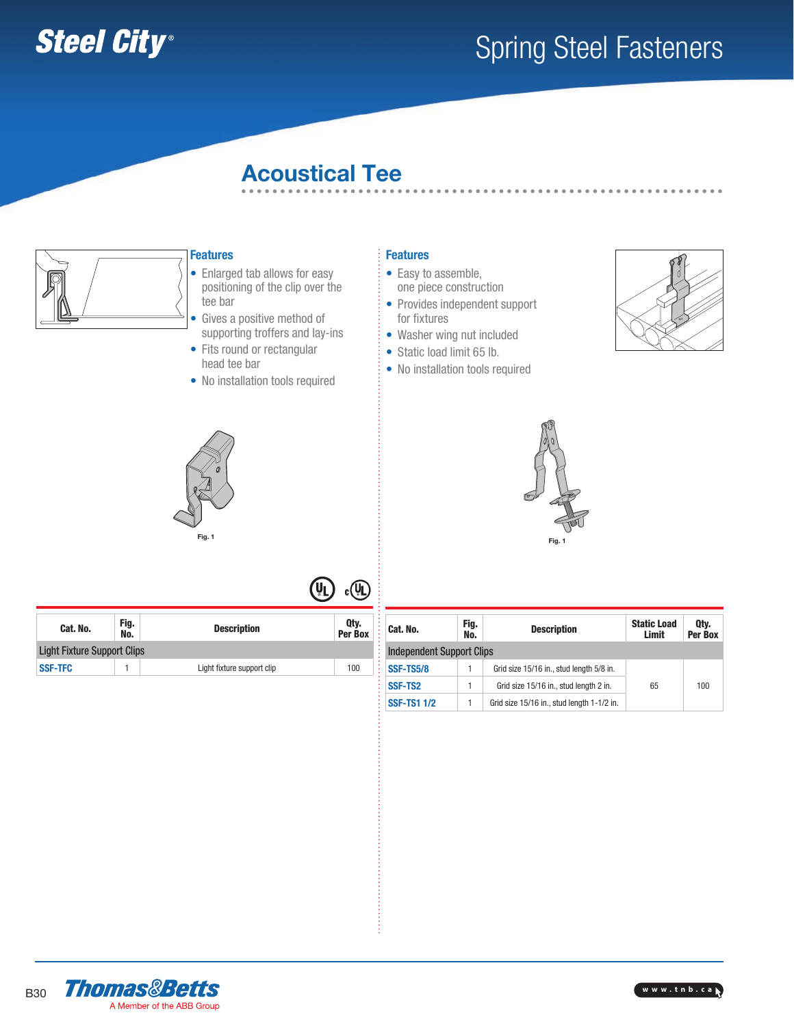

## Spring Steel Fasteners

## Acoustical Tee



### **Features**

• Enlarged tab allows for easy positioning of the clip over the tee bar

- Gives a positive method of supporting troffers and lay-ins
- Fits round or rectangular head tee bar
- No installation tools required

- Easy to assemble, one piece construction
- Provides independent support for fixtures
- Washer wing nut included
- Static load limit 65 lb.
- No installation tools required







| Cat. No.       | Fig.<br>No.                        | <b>Description</b>         | Qty.<br>Per Box |  |  |  |
|----------------|------------------------------------|----------------------------|-----------------|--|--|--|
|                | <b>Light Fixture Support Clips</b> |                            |                 |  |  |  |
| <b>SSF-TFC</b> |                                    | Light fixture support clip | 100             |  |  |  |

| Fig.<br>Cat. No.<br>No.          |  | <b>Description</b>                         | <b>Static Load</b><br>Limit | Qty.<br>Per Box |  |  |
|----------------------------------|--|--------------------------------------------|-----------------------------|-----------------|--|--|
| <b>Independent Support Clips</b> |  |                                            |                             |                 |  |  |
| <b>SSF-TS5/8</b>                 |  | Grid size 15/16 in., stud length 5/8 in.   |                             |                 |  |  |
| SSF-TS <sub>2</sub>              |  | Grid size 15/16 in., stud length 2 in.     | 65                          | 100             |  |  |
| <b>SSF-TS1 1/2</b>               |  | Grid size 15/16 in., stud length 1-1/2 in. |                             |                 |  |  |



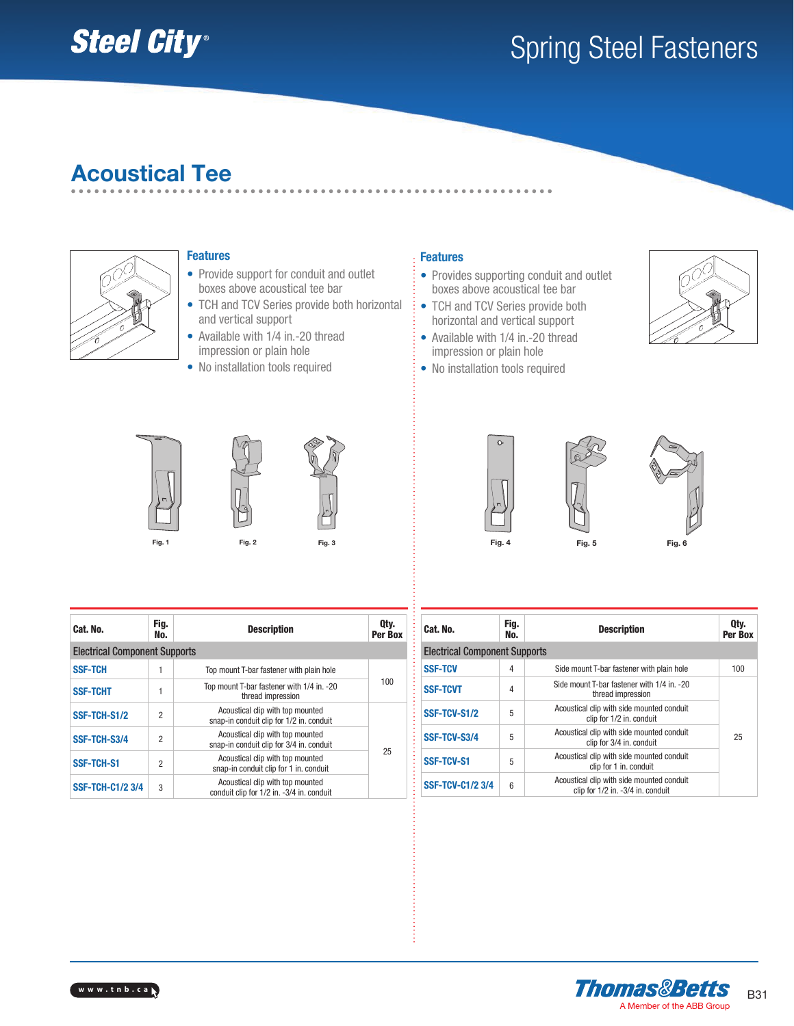# **Steel City®**

# Spring Steel Fasteners

## Acoustical Tee



### **Features**

- Provide support for conduit and outlet boxes above acoustical tee bar
- TCH and TCV Series provide both horizontal and vertical support
- Available with 1/4 in.-20 thread impression or plain hole
- No installation tools required

- Provides supporting conduit and outlet boxes above acoustical tee bar
- TCH and TCV Series provide both horizontal and vertical support
- Available with 1/4 in.-20 thread impression or plain hole
- No installation tools required









| Cat. No.                             | Fig.<br>No.    | <b>Description</b>                                                            | Qty.<br>Per Box |  |  |
|--------------------------------------|----------------|-------------------------------------------------------------------------------|-----------------|--|--|
| <b>Electrical Component Supports</b> |                |                                                                               |                 |  |  |
| <b>SSF-TCH</b>                       |                | Top mount T-bar fastener with plain hole                                      |                 |  |  |
| <b>SSF-TCHT</b>                      |                | Top mount T-bar fastener with 1/4 in. -20<br>thread impression                | 100             |  |  |
| SSF-TCH-S1/2                         | $\overline{2}$ | Acoustical clip with top mounted<br>snap-in conduit clip for 1/2 in. conduit  |                 |  |  |
| SSF-TCH-S3/4<br>$\overline{2}$       |                | Acoustical clip with top mounted<br>snap-in conduit clip for 3/4 in. conduit  |                 |  |  |
| <b>SSF-TCH-S1</b><br>$\overline{2}$  |                | Acoustical clip with top mounted<br>snap-in conduit clip for 1 in. conduit    | 25              |  |  |
| <b>SSF-TCH-C1/2 3/4</b><br>3         |                | Acoustical clip with top mounted<br>conduit clip for 1/2 in. -3/4 in. conduit |                 |  |  |

| Cat. No.                             | Fig.<br>No.      | <b>Description</b>                                                             | Qty.<br>Per Box |  |
|--------------------------------------|------------------|--------------------------------------------------------------------------------|-----------------|--|
| <b>Electrical Component Supports</b> |                  |                                                                                |                 |  |
| <b>SSF-TCV</b>                       | 4                | Side mount T-bar fastener with plain hole                                      | 100             |  |
| <b>SSF-TCVT</b>                      | 4                | Side mount T-bar fastener with 1/4 in. -20<br>thread impression                |                 |  |
| SSF-TCV-S1/2                         | 5                | Acoustical clip with side mounted conduit<br>clip for 1/2 in. conduit          |                 |  |
| SSF-TCV-S3/4                         | 5                | Acoustical clip with side mounted conduit<br>clip for 3/4 in. conduit          | 25              |  |
| <b>SSF-TCV-S1</b>                    | 5                | Acoustical clip with side mounted conduit<br>clip for 1 in. conduit            |                 |  |
| <b>SSF-TCV-C1/2 3/4</b>              | $\boldsymbol{6}$ | Acoustical clip with side mounted conduit<br>clip for 1/2 in. -3/4 in. conduit |                 |  |



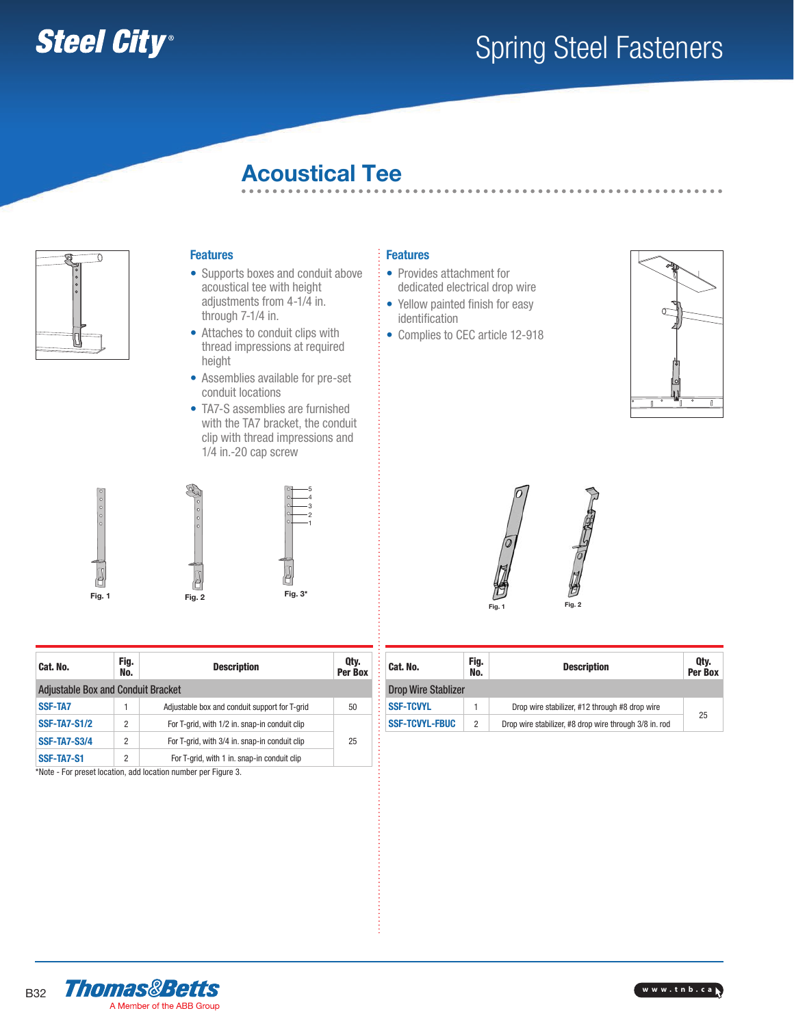

## Spring Steel Fasteners

## Acoustical Tee



### Features

- Supports boxes and conduit above acoustical tee with height adjustments from 4-1/4 in. through 7-1/4 in.
- Attaches to conduit clips with thread impressions at required height
- Assemblies available for pre-set conduit locations
- TA7-S assemblies are furnished with the TA7 bracket, the conduit clip with thread impressions and 1/4 in.-20 cap screw



| Fig. 1                                    |                | Fig. 3*<br>Fig. 2                             |                 |
|-------------------------------------------|----------------|-----------------------------------------------|-----------------|
| Cat. No.                                  | Fig.<br>No.    | <b>Description</b>                            | Qty.<br>Per Box |
| <b>Adjustable Box and Conduit Bracket</b> |                |                                               |                 |
| <b>SSF-TA7</b>                            |                | Adjustable box and conduit support for T-grid | 50              |
| <b>SSF-TA7-S1/2</b>                       | $\overline{2}$ | For T-grid, with 1/2 in. snap-in conduit clip |                 |
| <b>SSF-TA7-S3/4</b>                       | $\overline{2}$ | For T-grid, with 3/4 in. snap-in conduit clip | 25              |
| SSF-TA7-S1                                | $\overline{2}$ | For T-grid, with 1 in. snap-in conduit clip   |                 |

\*Note - For preset location, add location number per Figure 3.

- Provides attachment for dedicated electrical drop wire
- Yellow painted finish for easy identification
- Complies to CEC article 12-918





| Cat. No.                   | Fig.<br>No.    | <b>Description</b>                                     | Qty.<br>Per Box |  |
|----------------------------|----------------|--------------------------------------------------------|-----------------|--|
| <b>Drop Wire Stablizer</b> |                |                                                        |                 |  |
| <b>SSF-TCVYL</b>           |                | Drop wire stabilizer, #12 through #8 drop wire         |                 |  |
| <b>SSF-TCVYL-FBUC</b>      | $\overline{2}$ | Drop wire stabilizer, #8 drop wire through 3/8 in. rod | 25              |  |



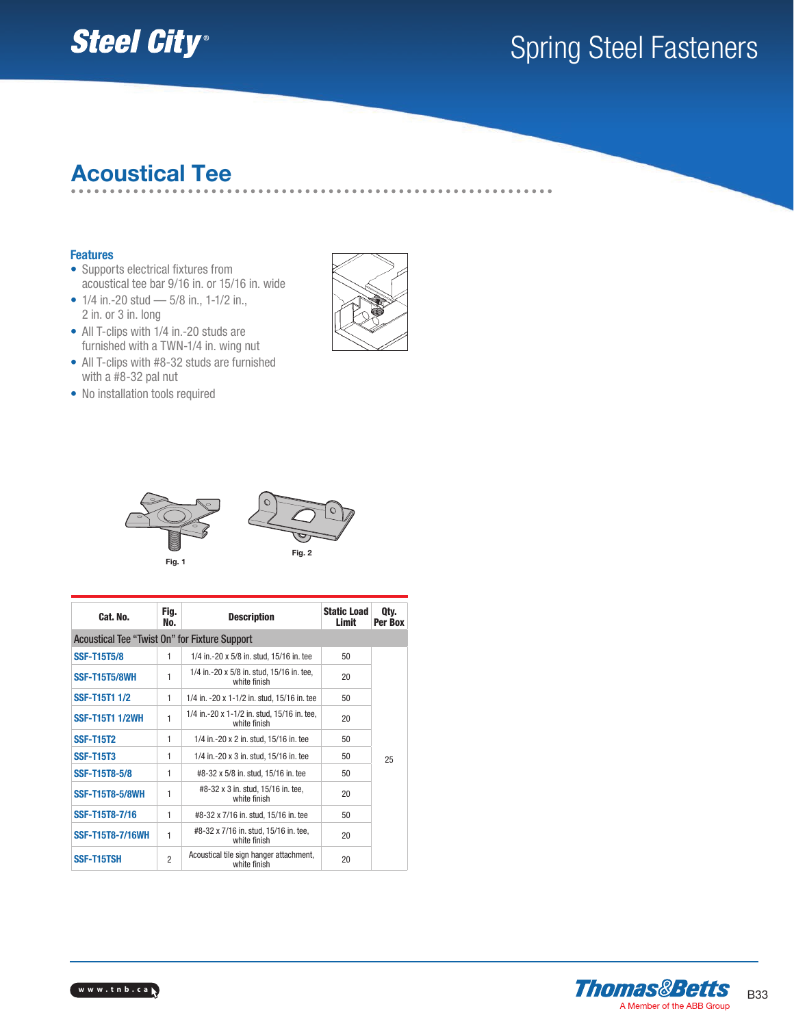

# Spring Steel Fasteners

## Acoustical Tee

#### Features

- Supports electrical fixtures from acoustical tee bar 9/16 in. or 15/16 in. wide
- $1/4$  in.-20 stud  $5/8$  in.,  $1-1/2$  in., 2 in. or 3 in. long
- All T-clips with 1/4 in.-20 studs are furnished with a TWN-1/4 in. wing nut
- All T-clips with #8-32 studs are furnished with a #8-32 pal nut
- No installation tools required





| Cat. No.                                             | Fig.<br>No.    | <b>Description</b>                                          | <b>Static Load</b><br>Limit | Qty.<br>Per Box |
|------------------------------------------------------|----------------|-------------------------------------------------------------|-----------------------------|-----------------|
| <b>Acoustical Tee "Twist On" for Fixture Support</b> |                |                                                             |                             |                 |
| <b>SSF-T15T5/8</b>                                   | 1              | 1/4 in.-20 x 5/8 in. stud, 15/16 in. tee                    | 50                          |                 |
| <b>SSF-T15T5/8WH</b>                                 | 1              | 1/4 in.-20 x 5/8 in. stud, 15/16 in. tee,<br>white finish   | 20                          |                 |
| <b>SSF-T15T1 1/2</b>                                 | 1              | 1/4 in. -20 x 1-1/2 in. stud, 15/16 in. tee                 | 50                          |                 |
| <b>SSF-T15T1 1/2WH</b>                               | 1              | 1/4 in.-20 x 1-1/2 in. stud, 15/16 in. tee,<br>white finish | 20                          |                 |
| <b>SSF-T15T2</b>                                     | 1              | 1/4 in.-20 x 2 in. stud, 15/16 in. tee                      | 50                          |                 |
| <b>SSF-T15T3</b>                                     | 1              | 1/4 in.-20 x 3 in. stud, 15/16 in. tee                      | 50                          | 25              |
| <b>SSF-T15T8-5/8</b>                                 | 1              | #8-32 x 5/8 in. stud, 15/16 in. tee                         | 50                          |                 |
| <b>SSF-T15T8-5/8WH</b>                               | 1              | #8-32 x 3 in. stud, 15/16 in. tee,<br>white finish          | 20                          |                 |
| SSF-T15T8-7/16                                       | 1              | #8-32 x 7/16 in. stud, 15/16 in. tee                        | 50                          |                 |
| <b>SSF-T15T8-7/16WH</b>                              | 1              | #8-32 x 7/16 in. stud, 15/16 in. tee,<br>white finish       | 20                          |                 |
| SSF-T15TSH                                           | $\overline{2}$ | Acoustical tile sign hanger attachment,<br>white finish     | 20                          |                 |